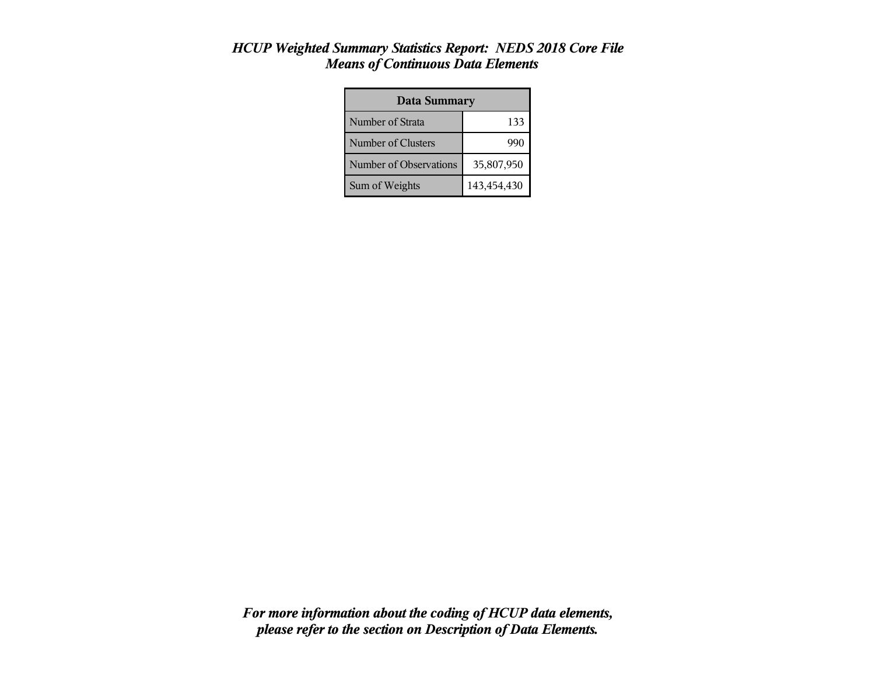| <b>Data Summary</b>    |             |  |  |
|------------------------|-------------|--|--|
| Number of Strata       | 133         |  |  |
| Number of Clusters     | 99t         |  |  |
| Number of Observations | 35,807,950  |  |  |
| Sum of Weights         | 143,454,430 |  |  |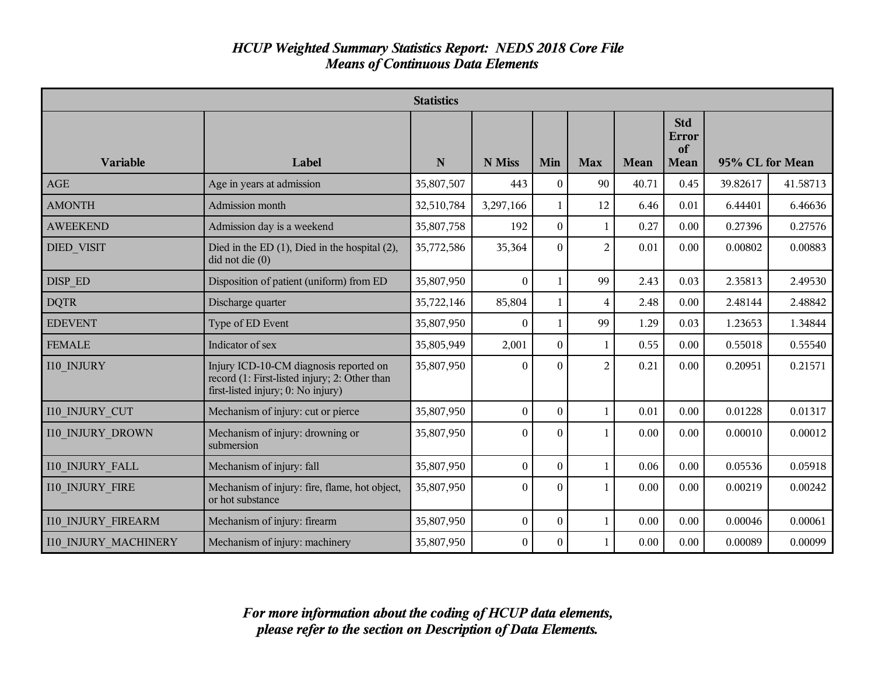|                             |                                                                                                                               | <b>Statistics</b> |                  |                  |                |       |                                   |                 |          |
|-----------------------------|-------------------------------------------------------------------------------------------------------------------------------|-------------------|------------------|------------------|----------------|-------|-----------------------------------|-----------------|----------|
| <b>Variable</b>             | Label                                                                                                                         | N                 | N Miss           | Min              | <b>Max</b>     | Mean  | <b>Std</b><br>Error<br>of<br>Mean | 95% CL for Mean |          |
| AGE                         | Age in years at admission                                                                                                     | 35,807,507        | 443              | $\theta$         | 90             | 40.71 | 0.45                              | 39.82617        | 41.58713 |
| <b>AMONTH</b>               | Admission month                                                                                                               | 32,510,784        | 3,297,166        | 1                | 12             | 6.46  | 0.01                              | 6.44401         | 6.46636  |
| <b>AWEEKEND</b>             | Admission day is a weekend                                                                                                    | 35,807,758        | 192              | $\boldsymbol{0}$ | $\mathbf{1}$   | 0.27  | 0.00                              | 0.27396         | 0.27576  |
| <b>DIED VISIT</b>           | Died in the ED $(1)$ , Died in the hospital $(2)$ ,<br>$did$ not die $(0)$                                                    | 35,772,586        | 35,364           | $\theta$         | 2              | 0.01  | 0.00                              | 0.00802         | 0.00883  |
| DISP ED                     | Disposition of patient (uniform) from ED                                                                                      | 35,807,950        | $\theta$         | 1                | 99             | 2.43  | 0.03                              | 2.35813         | 2.49530  |
| <b>DQTR</b>                 | Discharge quarter                                                                                                             | 35,722,146        | 85,804           | 1                | 4              | 2.48  | 0.00                              | 2.48144         | 2.48842  |
| <b>EDEVENT</b>              | Type of ED Event                                                                                                              | 35,807,950        | $\mathbf{0}$     | 1                | 99             | 1.29  | 0.03                              | 1.23653         | 1.34844  |
| <b>FEMALE</b>               | Indicator of sex                                                                                                              | 35,805,949        | 2,001            | $\boldsymbol{0}$ | 1              | 0.55  | 0.00                              | 0.55018         | 0.55540  |
| I10 INJURY                  | Injury ICD-10-CM diagnosis reported on<br>record (1: First-listed injury; 2: Other than<br>first-listed injury; 0: No injury) | 35,807,950        | $\Omega$         | 0                | $\overline{2}$ | 0.21  | 0.00                              | 0.20951         | 0.21571  |
| <b>I10 INJURY CUT</b>       | Mechanism of injury: cut or pierce                                                                                            | 35,807,950        | $\boldsymbol{0}$ | $\theta$         | $\mathbf{1}$   | 0.01  | 0.00                              | 0.01228         | 0.01317  |
| <b>I10 INJURY DROWN</b>     | Mechanism of injury: drowning or<br>submersion                                                                                | 35,807,950        | $\theta$         | $\theta$         | $\mathbf{1}$   | 0.00  | 0.00                              | 0.00010         | 0.00012  |
| <b>I10 INJURY FALL</b>      | Mechanism of injury: fall                                                                                                     | 35,807,950        | $\boldsymbol{0}$ | $\theta$         | $\mathbf{1}$   | 0.06  | 0.00                              | 0.05536         | 0.05918  |
| <b>I10 INJURY FIRE</b>      | Mechanism of injury: fire, flame, hot object,<br>or hot substance                                                             | 35,807,950        | $\theta$         | 0                | 1.             | 0.00  | 0.00                              | 0.00219         | 0.00242  |
| <b>I10 INJURY FIREARM</b>   | Mechanism of injury: firearm                                                                                                  | 35,807,950        | $\boldsymbol{0}$ | $\theta$         | $\mathbf{1}$   | 0.00  | 0.00                              | 0.00046         | 0.00061  |
| <b>I10 INJURY MACHINERY</b> | Mechanism of injury: machinery                                                                                                | 35,807,950        | $\overline{0}$   | $\theta$         | $\mathbf{1}$   | 0.00  | 0.00                              | 0.00089         | 0.00099  |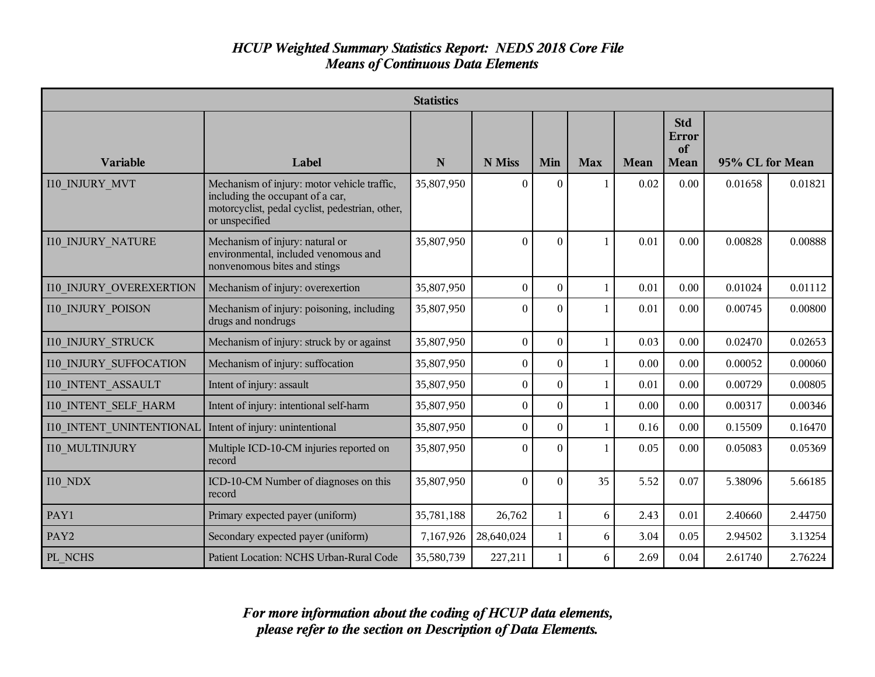|                               |                                                                                                                                                      | <b>Statistics</b> |                  |                  |              |             |                                   |                 |         |
|-------------------------------|------------------------------------------------------------------------------------------------------------------------------------------------------|-------------------|------------------|------------------|--------------|-------------|-----------------------------------|-----------------|---------|
| <b>Variable</b>               | Label                                                                                                                                                | N                 | N Miss           | Min              | <b>Max</b>   | <b>Mean</b> | <b>Std</b><br>Error<br>of<br>Mean | 95% CL for Mean |         |
| <b>I10 INJURY MVT</b>         | Mechanism of injury: motor vehicle traffic,<br>including the occupant of a car,<br>motorcyclist, pedal cyclist, pedestrian, other,<br>or unspecified | 35,807,950        | $\Omega$         | $\Omega$         | 1            | 0.02        | 0.00                              | 0.01658         | 0.01821 |
| <b>I10 INJURY NATURE</b>      | Mechanism of injury: natural or<br>environmental, included venomous and<br>nonvenomous bites and stings                                              | 35,807,950        | $\theta$         | $\theta$         | $\mathbf{1}$ | 0.01        | 0.00                              | 0.00828         | 0.00888 |
| 110 INJURY OVEREXERTION       | Mechanism of injury: overexertion                                                                                                                    | 35,807,950        | $\theta$         | $\theta$         | 1            | 0.01        | 0.00                              | 0.01024         | 0.01112 |
| <b>I10 INJURY POISON</b>      | Mechanism of injury: poisoning, including<br>drugs and nondrugs                                                                                      | 35,807,950        | $\theta$         | $\theta$         | $\mathbf{1}$ | 0.01        | 0.00                              | 0.00745         | 0.00800 |
| <b>I10 INJURY STRUCK</b>      | Mechanism of injury: struck by or against                                                                                                            | 35,807,950        | $\boldsymbol{0}$ | $\boldsymbol{0}$ | $\mathbf{1}$ | 0.03        | 0.00                              | 0.02470         | 0.02653 |
| <b>I10 INJURY SUFFOCATION</b> | Mechanism of injury: suffocation                                                                                                                     | 35,807,950        | $\mathbf{0}$     | $\theta$         | 1            | 0.00        | 0.00                              | 0.00052         | 0.00060 |
| <b>I10 INTENT ASSAULT</b>     | Intent of injury: assault                                                                                                                            | 35,807,950        | $\boldsymbol{0}$ | $\theta$         | 1            | 0.01        | 0.00                              | 0.00729         | 0.00805 |
| <b>I10 INTENT SELF HARM</b>   | Intent of injury: intentional self-harm                                                                                                              | 35,807,950        | $\boldsymbol{0}$ | $\theta$         | $\mathbf{1}$ | 0.00        | 0.00                              | 0.00317         | 0.00346 |
| 110 INTENT UNINTENTIONAL      | Intent of injury: unintentional                                                                                                                      | 35,807,950        | $\boldsymbol{0}$ | $\theta$         | $\mathbf{1}$ | 0.16        | 0.00                              | 0.15509         | 0.16470 |
| I10 MULTINJURY                | Multiple ICD-10-CM injuries reported on<br>record                                                                                                    | 35,807,950        | $\theta$         | $\Omega$         | 1            | 0.05        | 0.00                              | 0.05083         | 0.05369 |
| <b>I10 NDX</b>                | ICD-10-CM Number of diagnoses on this<br>record                                                                                                      | 35,807,950        | $\theta$         | $\theta$         | 35           | 5.52        | 0.07                              | 5.38096         | 5.66185 |
| PAY1                          | Primary expected payer (uniform)                                                                                                                     | 35,781,188        | 26,762           | 1                | 6            | 2.43        | 0.01                              | 2.40660         | 2.44750 |
| PAY2                          | Secondary expected payer (uniform)                                                                                                                   | 7,167,926         | 28,640,024       | $\mathbf{1}$     | 6            | 3.04        | 0.05                              | 2.94502         | 3.13254 |
| PL NCHS                       | Patient Location: NCHS Urban-Rural Code                                                                                                              | 35,580,739        | 227,211          | 1                | 6            | 2.69        | 0.04                              | 2.61740         | 2.76224 |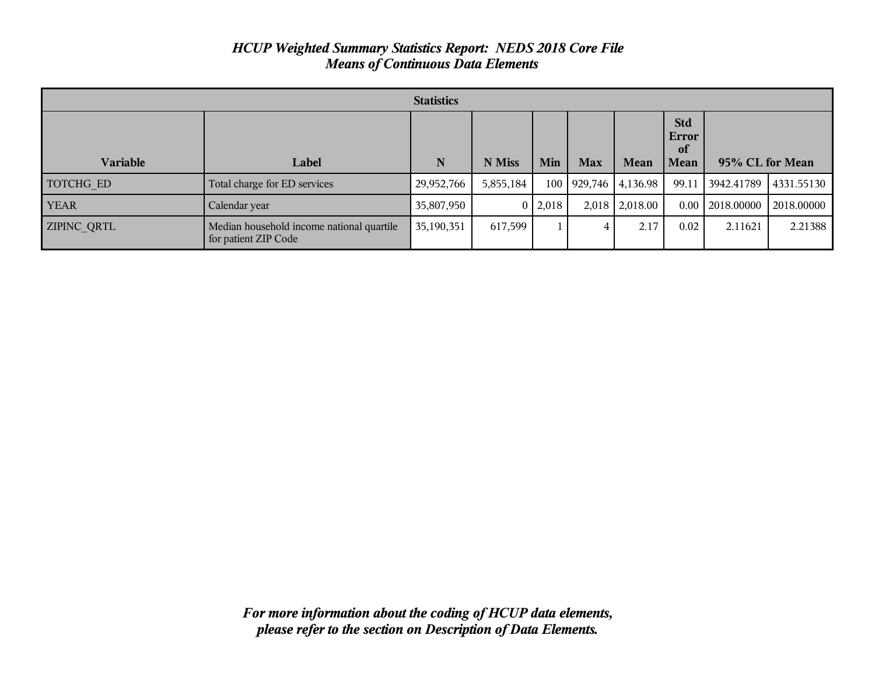| <b>Statistics</b>  |                                                                   |            |           |           |            |          |                                          |                 |            |
|--------------------|-------------------------------------------------------------------|------------|-----------|-----------|------------|----------|------------------------------------------|-----------------|------------|
| <b>Variable</b>    | Label                                                             | N          | N Miss    | Min       | <b>Max</b> | Mean     | <b>Std</b><br>Error<br>of<br><b>Mean</b> | 95% CL for Mean |            |
| TOTCHG ED          | Total charge for ED services                                      | 29,952,766 | 5,855,184 | 100       | 929,746    | 4,136.98 | 99.11                                    | 3942.41789      | 4331.55130 |
| <b>YEAR</b>        | Calendar year                                                     | 35,807,950 |           | 0   2,018 | 2,018      | 2,018.00 | 0.00                                     | 2018.00000      | 2018.00000 |
| <b>ZIPINC QRTL</b> | Median household income national quartile<br>for patient ZIP Code | 35,190,351 | 617,599   |           | 4          | 2.17     | 0.02                                     | 2.11621         | 2.21388    |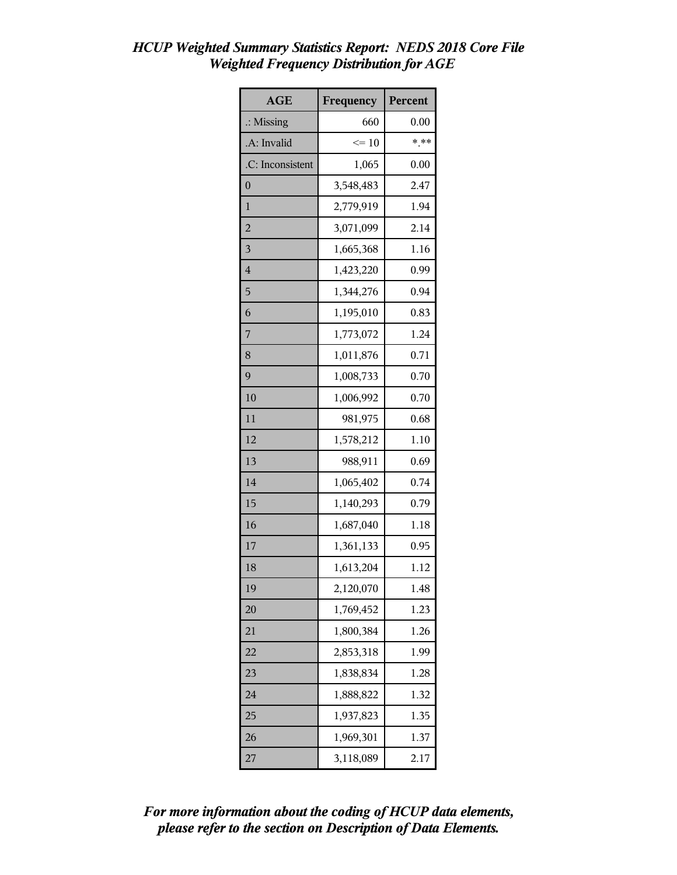| <b>AGE</b>              | Frequency | Percent |
|-------------------------|-----------|---------|
| $\therefore$ Missing    | 660       | 0.00    |
| .A: Invalid             | $\leq 10$ | $***$   |
| .C: Inconsistent        | 1,065     | 0.00    |
| $\overline{0}$          | 3,548,483 | 2.47    |
| $\mathbf{1}$            | 2,779,919 | 1.94    |
| $\overline{2}$          | 3,071,099 | 2.14    |
| $\overline{\mathbf{3}}$ | 1,665,368 | 1.16    |
| $\overline{4}$          | 1,423,220 | 0.99    |
| 5                       | 1,344,276 | 0.94    |
| 6                       | 1,195,010 | 0.83    |
| 7                       | 1,773,072 | 1.24    |
| 8                       | 1,011,876 | 0.71    |
| 9                       | 1,008,733 | 0.70    |
| 10                      | 1,006,992 | 0.70    |
| 11                      | 981,975   | 0.68    |
| 12                      | 1,578,212 | 1.10    |
| 13                      | 988,911   | 0.69    |
| 14                      | 1,065,402 | 0.74    |
| 15                      | 1,140,293 | 0.79    |
| 16                      | 1,687,040 | 1.18    |
| 17                      | 1,361,133 | 0.95    |
| 18                      | 1,613,204 | 1.12    |
| 19                      | 2,120,070 | 1.48    |
| 20                      | 1,769,452 | 1.23    |
| 21                      | 1,800,384 | 1.26    |
| 22                      | 2,853,318 | 1.99    |
| 23                      | 1,838,834 | 1.28    |
| 24                      | 1,888,822 | 1.32    |
| 25                      | 1,937,823 | 1.35    |
| 26                      | 1,969,301 | 1.37    |
| 27                      | 3,118,089 | 2.17    |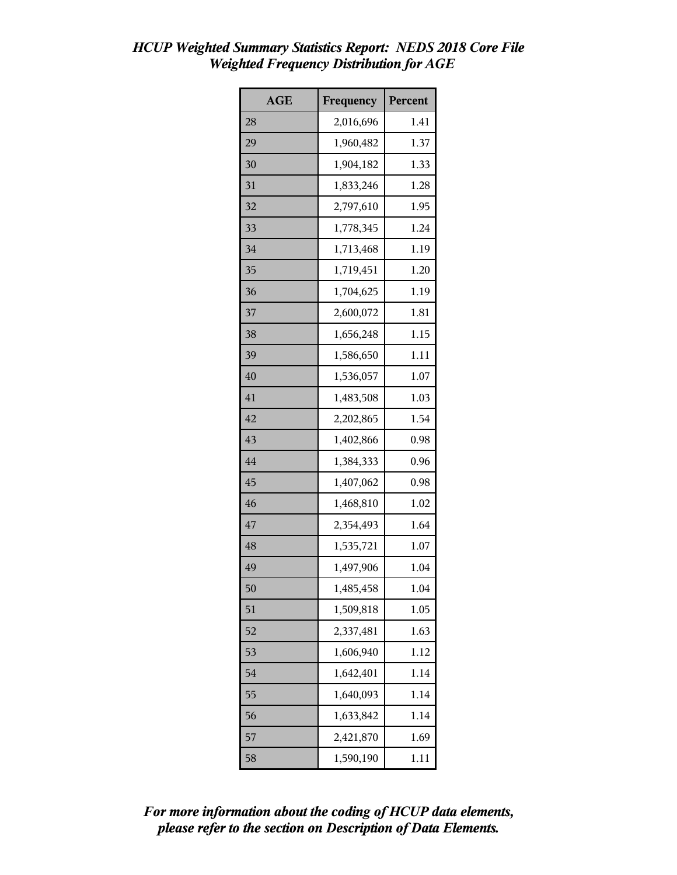| <b>AGE</b> | Frequency | Percent |
|------------|-----------|---------|
| 28         | 2,016,696 | 1.41    |
| 29         | 1,960,482 | 1.37    |
| 30         | 1,904,182 | 1.33    |
| 31         | 1,833,246 | 1.28    |
| 32         | 2,797,610 | 1.95    |
| 33         | 1,778,345 | 1.24    |
| 34         | 1,713,468 | 1.19    |
| 35         | 1,719,451 | 1.20    |
| 36         | 1,704,625 | 1.19    |
| 37         | 2,600,072 | 1.81    |
| 38         | 1,656,248 | 1.15    |
| 39         | 1,586,650 | 1.11    |
| 40         | 1,536,057 | 1.07    |
| 41         | 1,483,508 | 1.03    |
| 42         | 2,202,865 | 1.54    |
| 43         | 1,402,866 | 0.98    |
| 44         | 1,384,333 | 0.96    |
| 45         | 1,407,062 | 0.98    |
| 46         | 1,468,810 | 1.02    |
| 47         | 2,354,493 | 1.64    |
| 48         | 1,535,721 | 1.07    |
| 49         | 1,497,906 | 1.04    |
| 50         | 1,485,458 | 1.04    |
| 51         | 1,509,818 | 1.05    |
| 52         | 2,337,481 | 1.63    |
| 53         | 1,606,940 | 1.12    |
| 54         | 1,642,401 | 1.14    |
| 55         | 1,640,093 | 1.14    |
| 56         | 1,633,842 | 1.14    |
| 57         | 2,421,870 | 1.69    |
| 58         | 1,590,190 | 1.11    |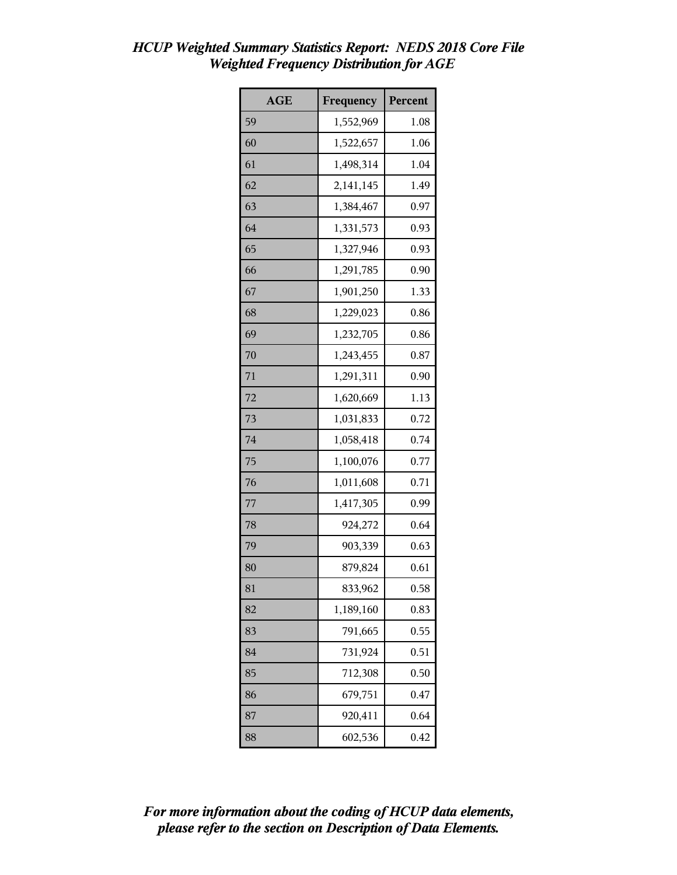| <b>AGE</b> | Frequency | Percent |
|------------|-----------|---------|
| 59         | 1,552,969 | 1.08    |
| 60         | 1,522,657 | 1.06    |
| 61         | 1,498,314 | 1.04    |
| 62         | 2,141,145 | 1.49    |
| 63         | 1,384,467 | 0.97    |
| 64         | 1,331,573 | 0.93    |
| 65         | 1,327,946 | 0.93    |
| 66         | 1,291,785 | 0.90    |
| 67         | 1,901,250 | 1.33    |
| 68         | 1,229,023 | 0.86    |
| 69         | 1,232,705 | 0.86    |
| 70         | 1,243,455 | 0.87    |
| 71         | 1,291,311 | 0.90    |
| 72         | 1,620,669 | 1.13    |
| 73         | 1,031,833 | 0.72    |
| 74         | 1,058,418 | 0.74    |
| 75         | 1,100,076 | 0.77    |
| 76         | 1,011,608 | 0.71    |
| 77         | 1,417,305 | 0.99    |
| 78         | 924,272   | 0.64    |
| 79         | 903,339   | 0.63    |
| 80         | 879,824   | 0.61    |
| 81         | 833,962   | 0.58    |
| 82         | 1,189,160 | 0.83    |
| 83         | 791,665   | 0.55    |
| 84         | 731,924   | 0.51    |
| 85         | 712,308   | 0.50    |
| 86         | 679,751   | 0.47    |
| 87         | 920,411   | 0.64    |
| 88         | 602,536   | 0.42    |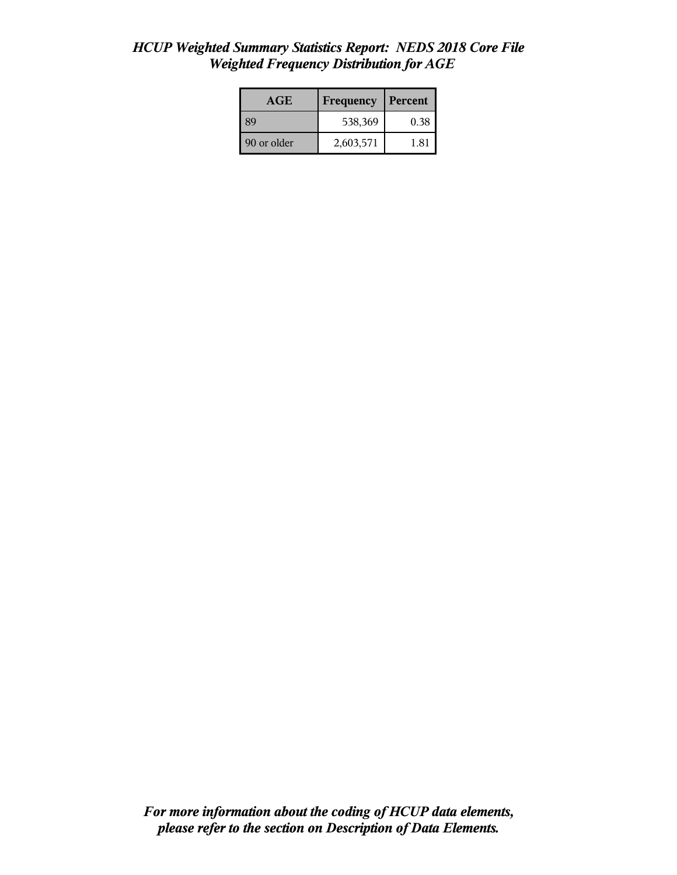| <b>AGE</b>  | <b>Frequency</b> | Percent |
|-------------|------------------|---------|
| -89         | 538,369          | 0.38    |
| 90 or older | 2,603,571        | 1.81    |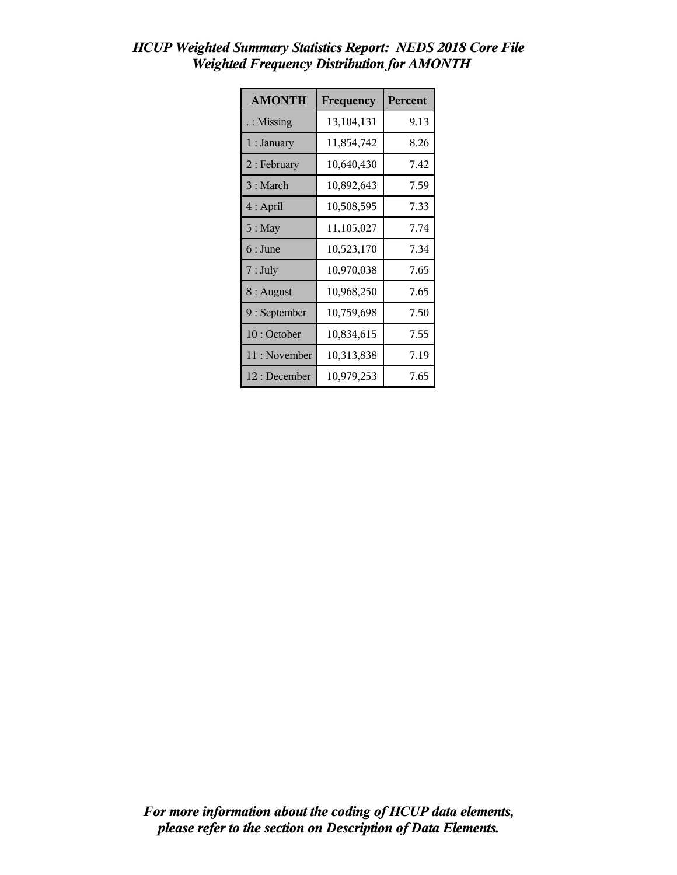| <b>AMONTH</b>        | Frequency  | Percent |
|----------------------|------------|---------|
| $\therefore$ Missing | 13,104,131 | 9.13    |
| 1 : January          | 11,854,742 | 8.26    |
| $2:$ February        | 10,640,430 | 7.42    |
| 3 : March            | 10,892,643 | 7.59    |
| $4:$ April           | 10,508,595 | 7.33    |
| $5:$ May             | 11,105,027 | 7.74    |
| $6:$ June            | 10,523,170 | 7.34    |
| $7:$ July            | 10,970,038 | 7.65    |
| $8:$ August          | 10,968,250 | 7.65    |
| 9 : September        | 10,759,698 | 7.50    |
| 10: October          | 10,834,615 | 7.55    |
| 11: November         | 10,313,838 | 7.19    |
| 12 : December        | 10,979,253 | 7.65    |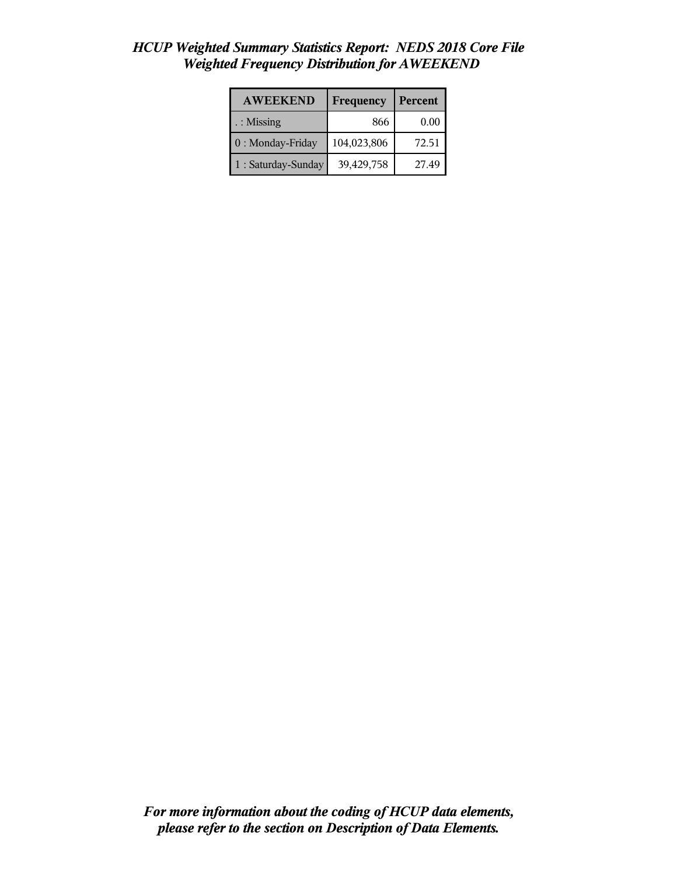| <b>AWEEKEND</b>     | Frequency   | Percent |
|---------------------|-------------|---------|
| : Missing           | 866         | 0.00    |
| 0 : Monday-Friday   | 104,023,806 | 72.51   |
| 1 : Saturday-Sunday | 39,429,758  | 27.49   |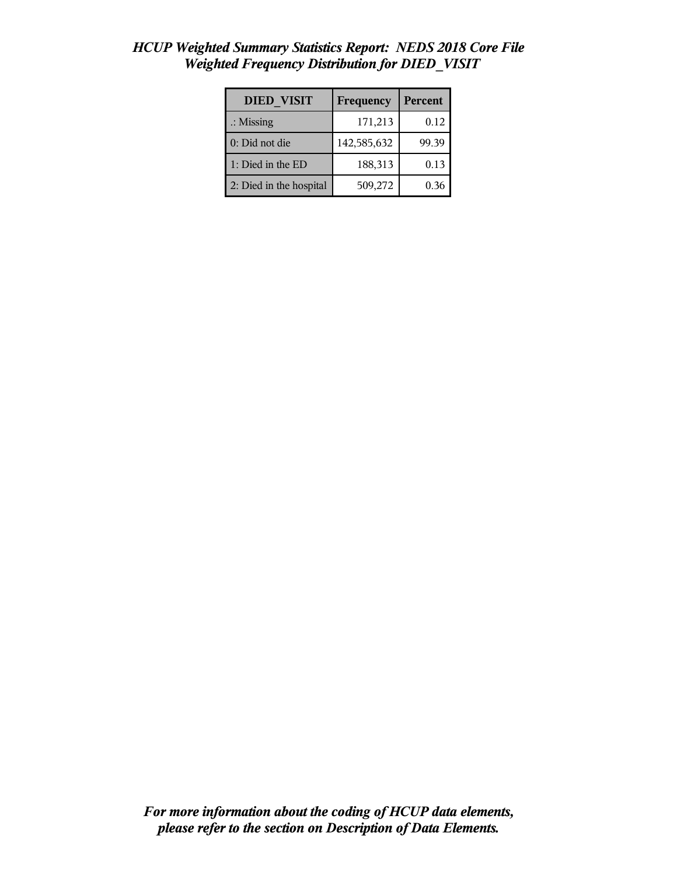| <b>DIED VISIT</b>       | Frequency   | Percent |
|-------------------------|-------------|---------|
| $\therefore$ Missing    | 171,213     | 0.12    |
| 0: Did not die          | 142,585,632 | 99.39   |
| 1: Died in the ED       | 188,313     | 0.13    |
| 2: Died in the hospital | 509,272     | 0.36    |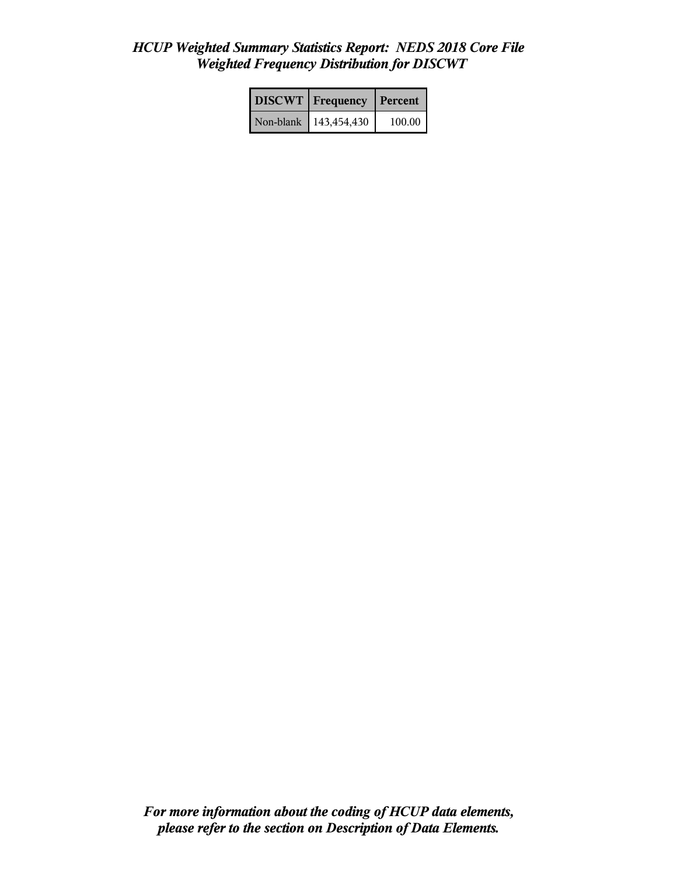|           | <b>DISCWT</b> Frequency | Percent |
|-----------|-------------------------|---------|
| Non-blank | 143,454,430             | 100.00  |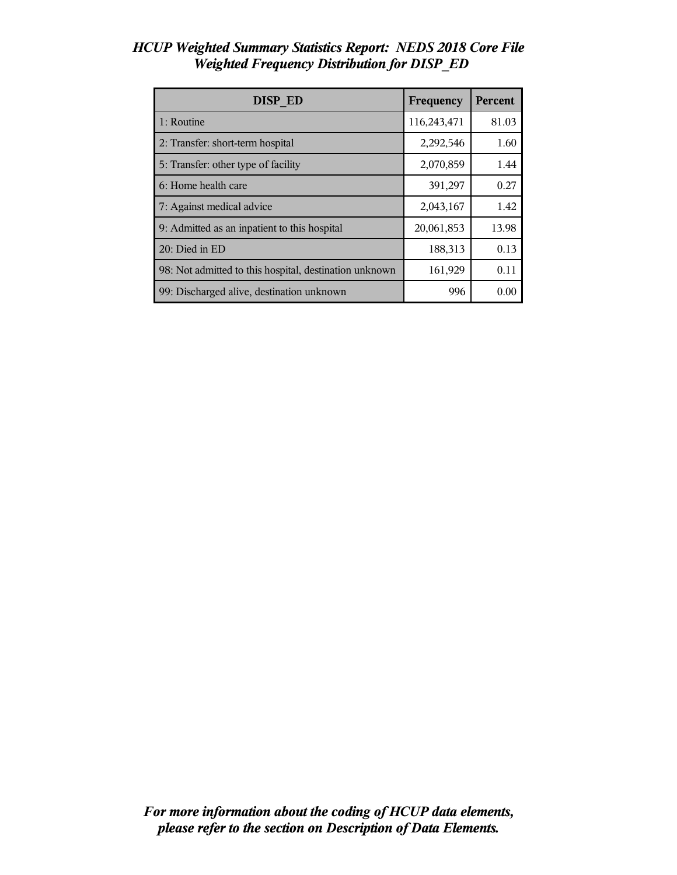| <b>DISP ED</b>                                         | Frequency   | <b>Percent</b> |
|--------------------------------------------------------|-------------|----------------|
| 1: Routine                                             | 116,243,471 | 81.03          |
| 2: Transfer: short-term hospital                       | 2,292,546   | 1.60           |
| 5: Transfer: other type of facility                    | 2,070,859   | 1.44           |
| 6: Home health care                                    | 391,297     | 0.27           |
| 7: Against medical advice                              | 2,043,167   | 1.42           |
| 9: Admitted as an inpatient to this hospital           | 20,061,853  | 13.98          |
| 20: Died in ED                                         | 188,313     | 0.13           |
| 98: Not admitted to this hospital, destination unknown | 161,929     | 0.11           |
| 99: Discharged alive, destination unknown              | 996         | 0.00           |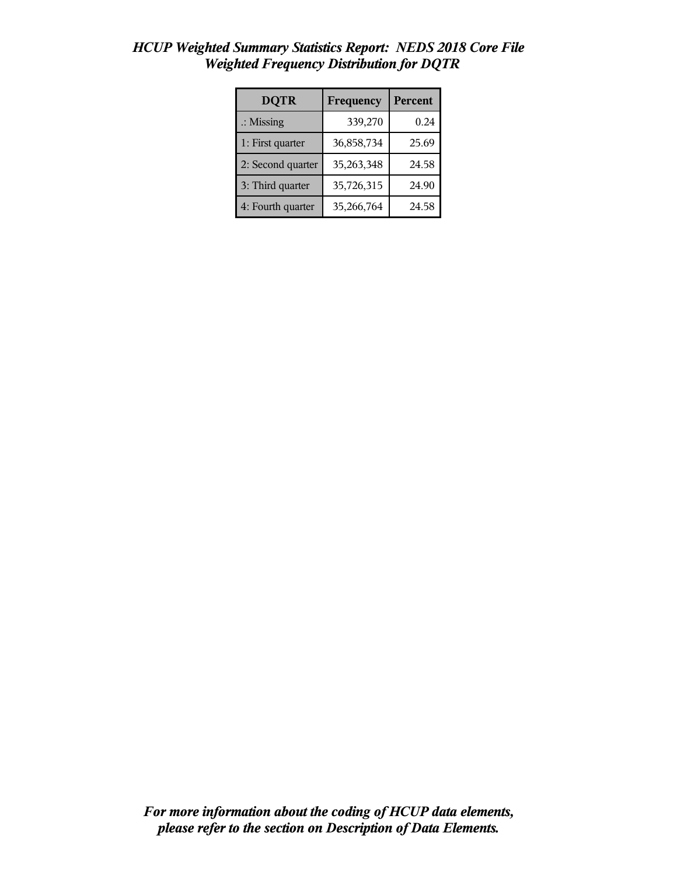| <b>DQTR</b>          | Frequency  | <b>Percent</b> |
|----------------------|------------|----------------|
| $\therefore$ Missing | 339,270    | 0.24           |
| 1: First quarter     | 36,858,734 | 25.69          |
| 2: Second quarter    | 35,263,348 | 24.58          |
| 3: Third quarter     | 35,726,315 | 24.90          |
| 4: Fourth quarter    | 35,266,764 | 24.58          |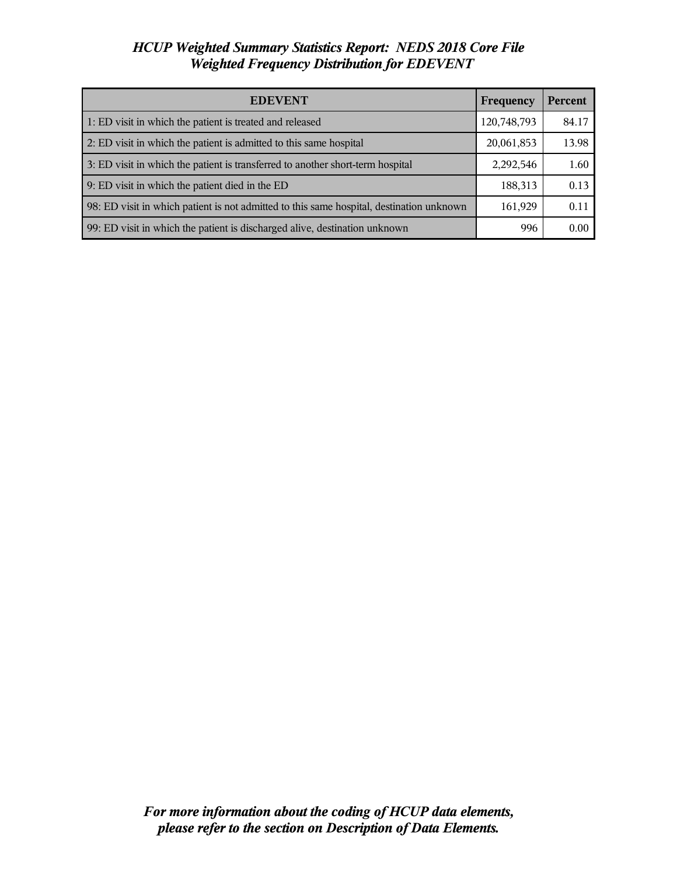| <b>EDEVENT</b>                                                                           | Frequency   | <b>Percent</b> |
|------------------------------------------------------------------------------------------|-------------|----------------|
| 1: ED visit in which the patient is treated and released                                 | 120,748,793 | 84.17          |
| 2: ED visit in which the patient is admitted to this same hospital                       | 20,061,853  | 13.98          |
| 3: ED visit in which the patient is transferred to another short-term hospital           | 2,292,546   | 1.60           |
| 9: ED visit in which the patient died in the ED                                          | 188,313     | 0.13           |
| 98: ED visit in which patient is not admitted to this same hospital, destination unknown | 161,929     | 0.11           |
| 99: ED visit in which the patient is discharged alive, destination unknown               | 996         | 0.00           |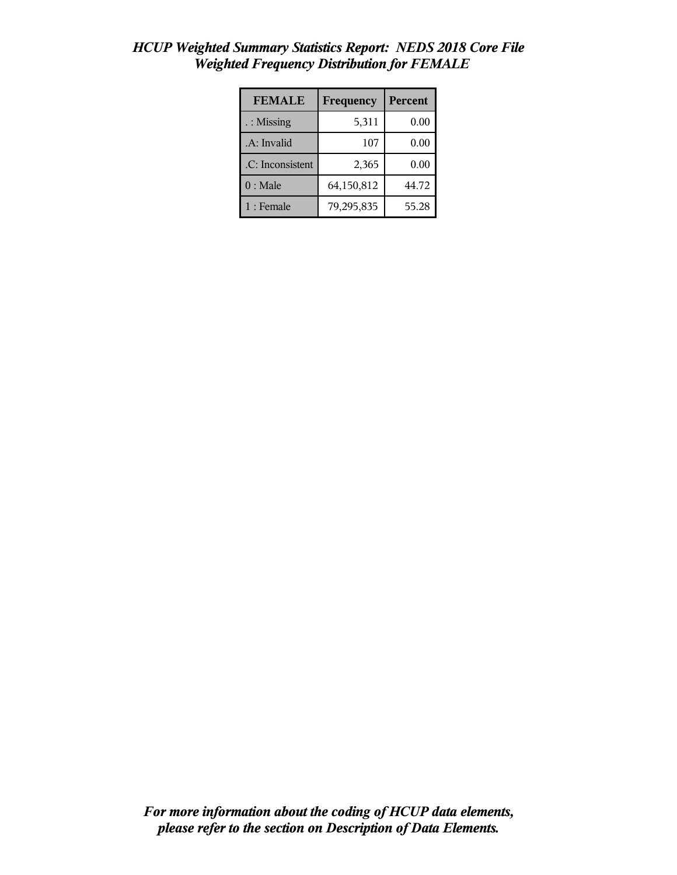| <b>FEMALE</b>    | Frequency  | <b>Percent</b> |
|------------------|------------|----------------|
| : Missing        | 5,311      | 0.00           |
| .A: Invalid      | 107        | 0.00           |
| .C: Inconsistent | 2,365      | 0.00           |
| $0:$ Male        | 64,150,812 | 44.72          |
| $1:$ Female      | 79,295,835 | 55.28          |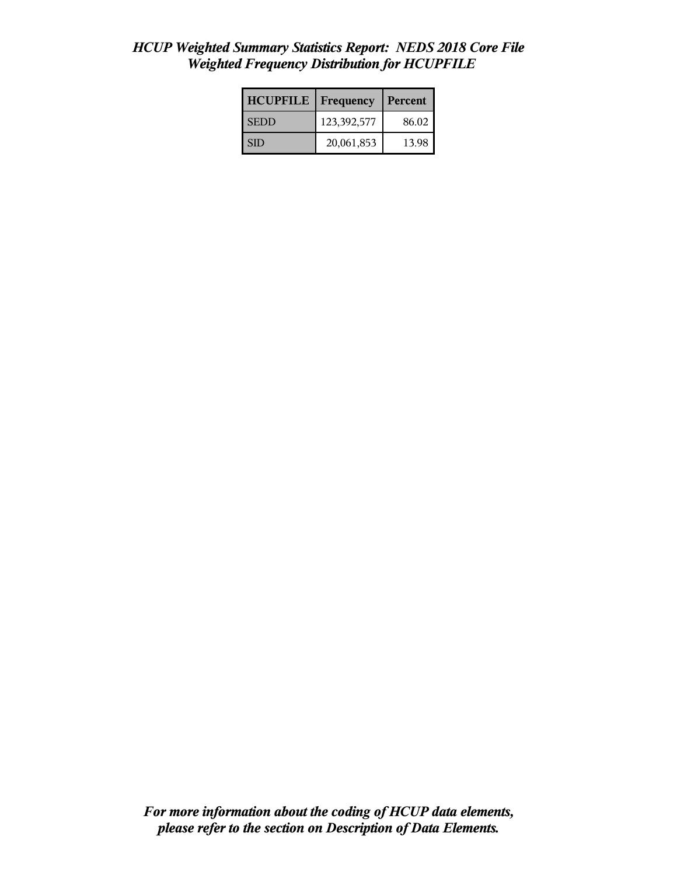| <b>HCUPFILE</b> | Frequency   | Percent |
|-----------------|-------------|---------|
| <b>SEDD</b>     | 123,392,577 | 86.02   |
| I SID           | 20,061,853  | 13.98   |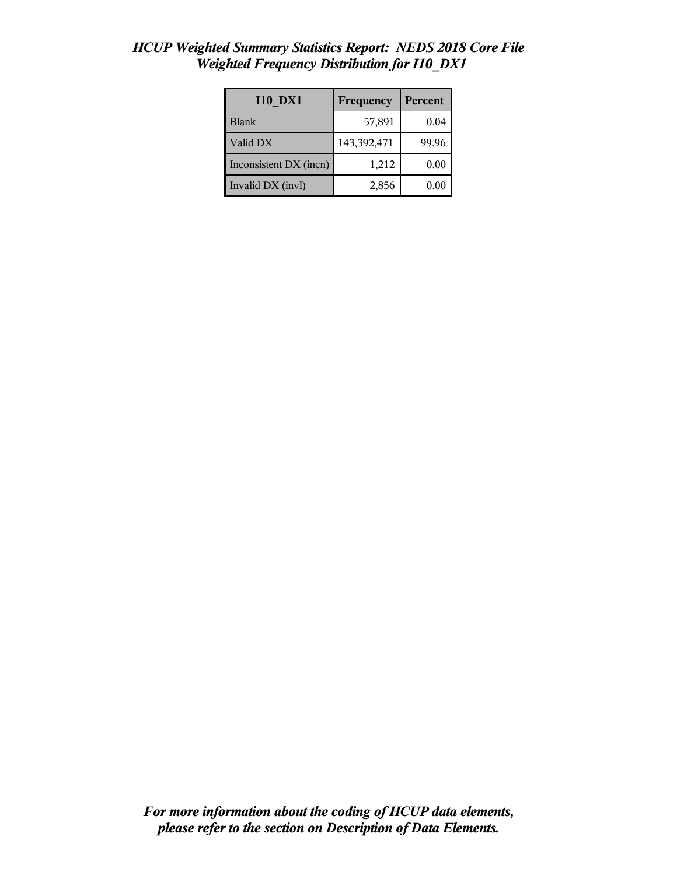| <b>I10 DX1</b>         | Frequency   | Percent |
|------------------------|-------------|---------|
| <b>Blank</b>           | 57,891      | 0.04    |
| Valid DX               | 143,392,471 | 99.96   |
| Inconsistent DX (incn) | 1,212       | 0.00    |
| Invalid DX (invl)      | 2,856       | 0.00    |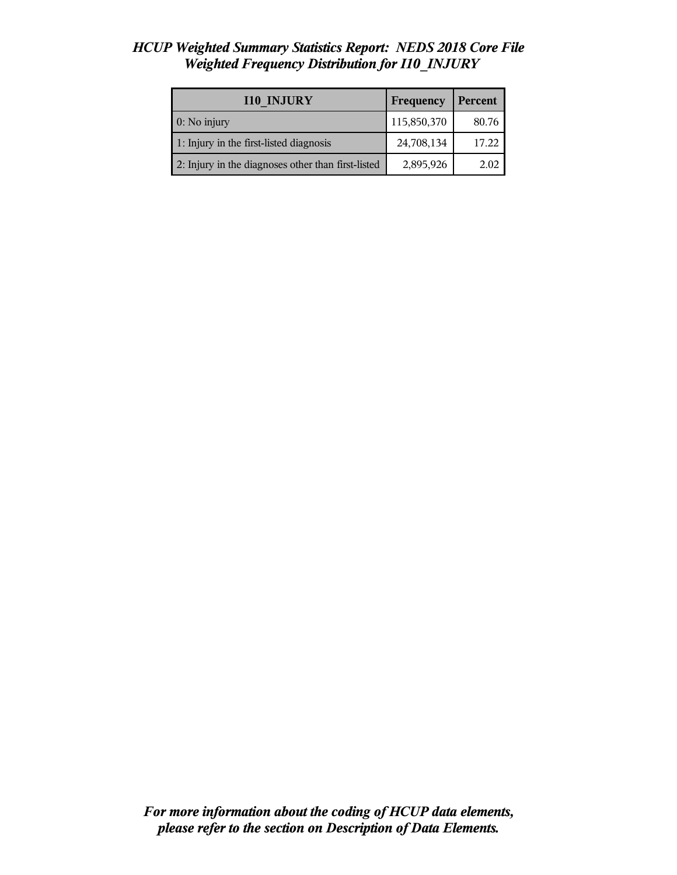| <b>I10 INJURY</b>                                  | Frequency   | Percent |
|----------------------------------------------------|-------------|---------|
| 0: No injury                                       | 115,850,370 | 80.76   |
| 1: Injury in the first-listed diagnosis            | 24,708,134  | 17.22   |
| 2: Injury in the diagnoses other than first-listed | 2,895,926   | 2.02    |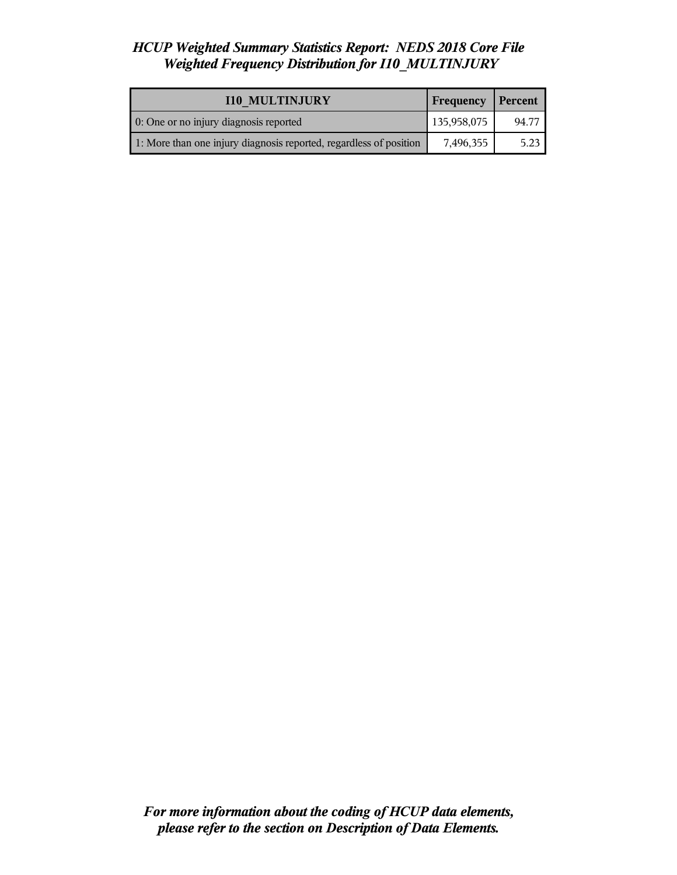| <b>I10 MULTINJURY</b>                                              | Frequency   | Percent |
|--------------------------------------------------------------------|-------------|---------|
| 0: One or no injury diagnosis reported                             | 135,958,075 | 94.77   |
| 1: More than one injury diagnosis reported, regardless of position | 7,496,355   | 5.23    |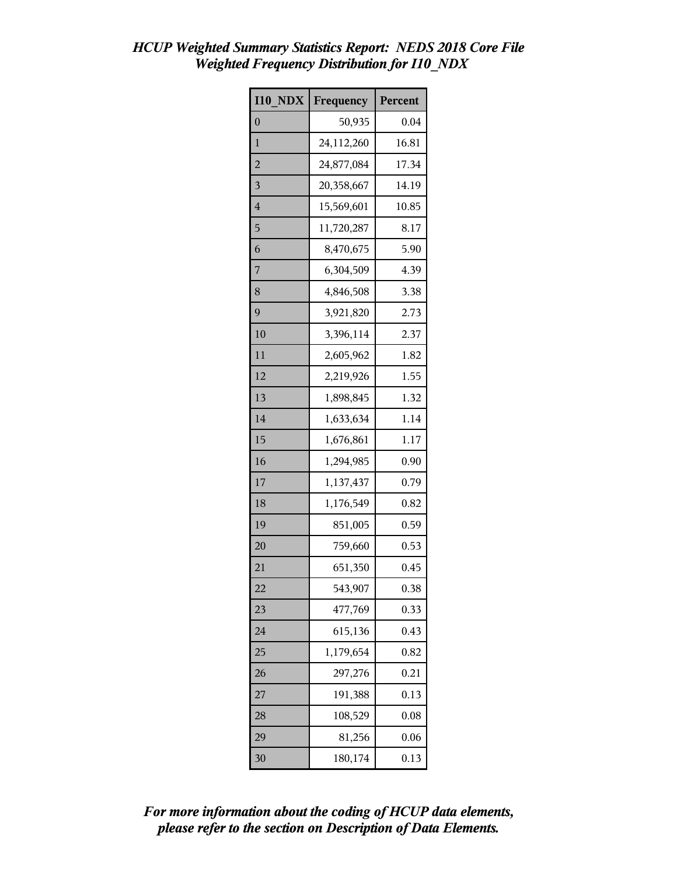| <b>I10 NDX</b>          | Frequency  | Percent |
|-------------------------|------------|---------|
| $\boldsymbol{0}$        | 50,935     | 0.04    |
| $\mathbf{1}$            | 24,112,260 | 16.81   |
| $\overline{c}$          | 24,877,084 | 17.34   |
| $\overline{\mathbf{3}}$ | 20,358,667 | 14.19   |
| $\overline{4}$          | 15,569,601 | 10.85   |
| 5                       | 11,720,287 | 8.17    |
| 6                       | 8,470,675  | 5.90    |
| 7                       | 6,304,509  | 4.39    |
| 8                       | 4,846,508  | 3.38    |
| 9                       | 3,921,820  | 2.73    |
| 10                      | 3,396,114  | 2.37    |
| 11                      | 2,605,962  | 1.82    |
| 12                      | 2,219,926  | 1.55    |
| 13                      | 1,898,845  | 1.32    |
| 14                      | 1,633,634  | 1.14    |
| 15                      | 1,676,861  | 1.17    |
| 16                      | 1,294,985  | 0.90    |
| 17                      | 1,137,437  | 0.79    |
| 18                      | 1,176,549  | 0.82    |
| 19                      | 851,005    | 0.59    |
| 20                      | 759,660    | 0.53    |
| 21                      | 651,350    | 0.45    |
| 22                      | 543,907    | 0.38    |
| 23                      | 477,769    | 0.33    |
| 24                      | 615,136    | 0.43    |
| 25                      | 1,179,654  | 0.82    |
| 26                      | 297,276    | 0.21    |
| 27                      | 191,388    | 0.13    |
| 28                      | 108,529    | 0.08    |
| 29                      | 81,256     | 0.06    |
| 30                      | 180,174    | 0.13    |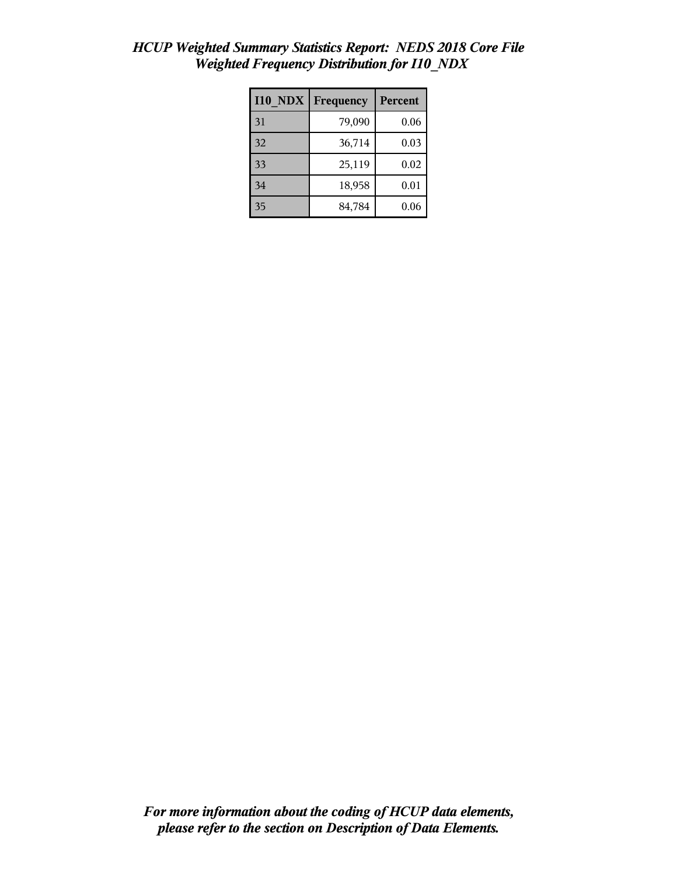| <b>I10 NDX</b> | Frequency | Percent |
|----------------|-----------|---------|
| 31             | 79,090    | 0.06    |
| 32             | 36,714    | 0.03    |
| 33             | 25,119    | 0.02    |
| 34             | 18,958    | 0.01    |
| 35             | 84,784    | 0.06    |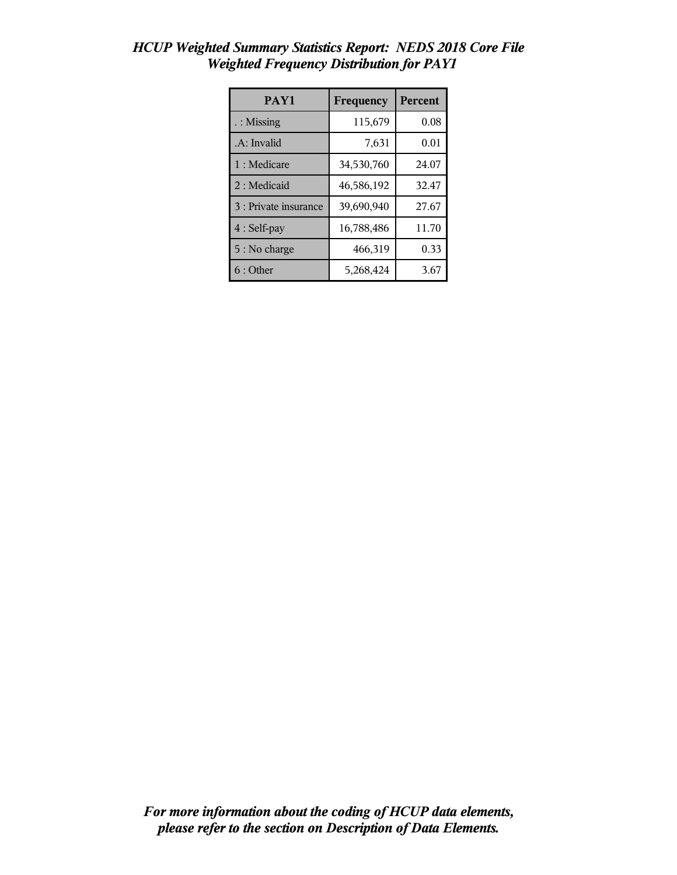| PAY1                  | Frequency  | Percent |
|-----------------------|------------|---------|
| : Missing             | 115,679    | 0.08    |
| .A: Invalid           | 7,631      | 0.01    |
| 1 : Medicare          | 34,530,760 | 24.07   |
| 2 : Medicaid          | 46,586,192 | 32.47   |
| 3 : Private insurance | 39,690,940 | 27.67   |
| 4 : Self-pay          | 16,788,486 | 11.70   |
| 5 : No charge         | 466,319    | 0.33    |
| 6:Other               | 5,268,424  | 3.67    |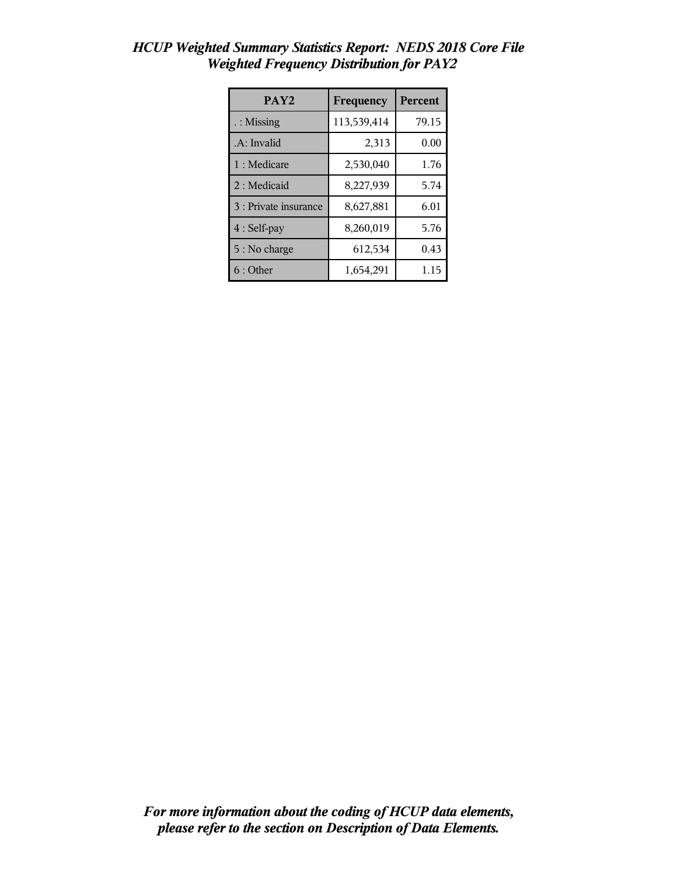| PAY <sub>2</sub>      | Frequency   | Percent |
|-----------------------|-------------|---------|
| $\therefore$ Missing  | 113,539,414 | 79.15   |
| .A: Invalid           | 2,313       | 0.00    |
| 1 : Medicare          | 2,530,040   | 1.76    |
| 2: Medicaid           | 8,227,939   | 5.74    |
| 3 : Private insurance | 8,627,881   | 6.01    |
| 4 : Self-pay          | 8,260,019   | 5.76    |
| 5 : No charge         | 612,534     | 0.43    |
| 6 : Other             | 1,654,291   | 1.15    |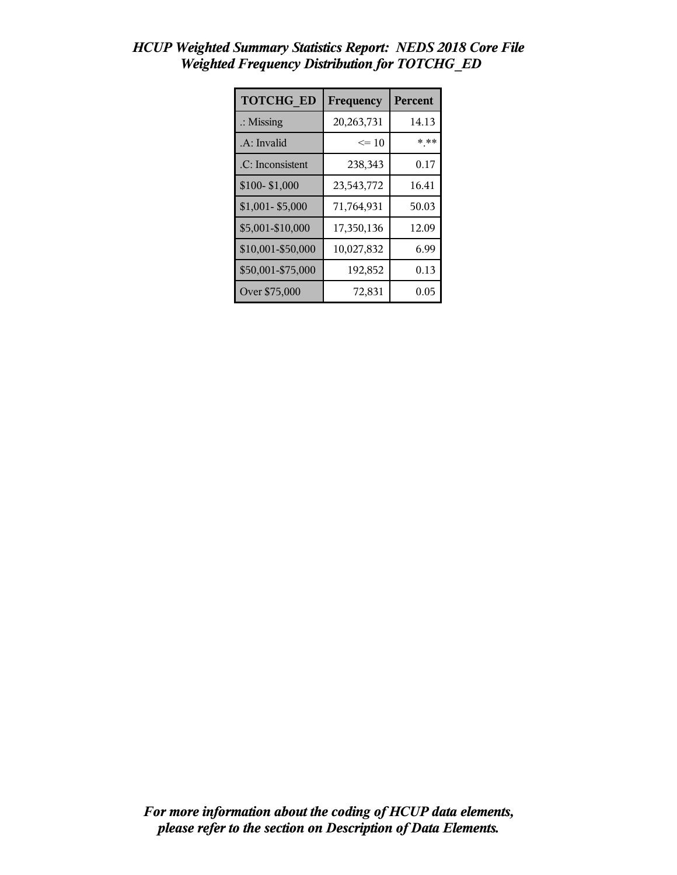| <b>TOTCHG ED</b>     | Frequency  | Percent |
|----------------------|------------|---------|
| $\therefore$ Missing | 20,263,731 | 14.13   |
| .A: Invalid          | $\leq 10$  | * **    |
| .C: Inconsistent     | 238,343    | 0.17    |
| \$100-\$1,000        | 23,543,772 | 16.41   |
| \$1,001-\$5,000      | 71,764,931 | 50.03   |
| \$5,001-\$10,000     | 17,350,136 | 12.09   |
| \$10,001-\$50,000    | 10,027,832 | 6.99    |
| \$50,001-\$75,000    | 192,852    | 0.13    |
| Over \$75,000        | 72,831     | 0.05    |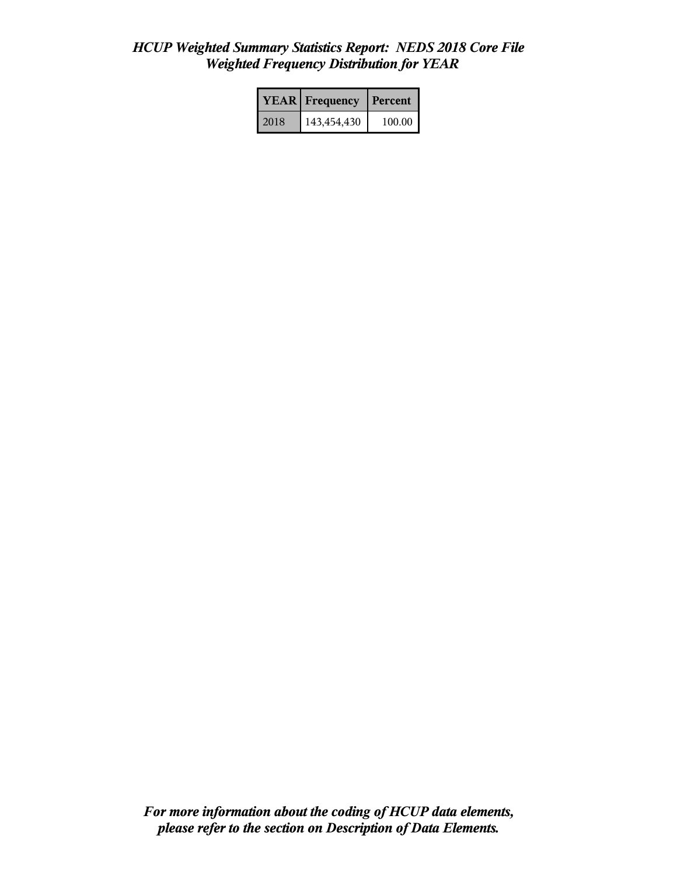|      | <b>YEAR</b> Frequency | Percent  |
|------|-----------------------|----------|
| 2018 | 143,454,430           | 100.00 l |